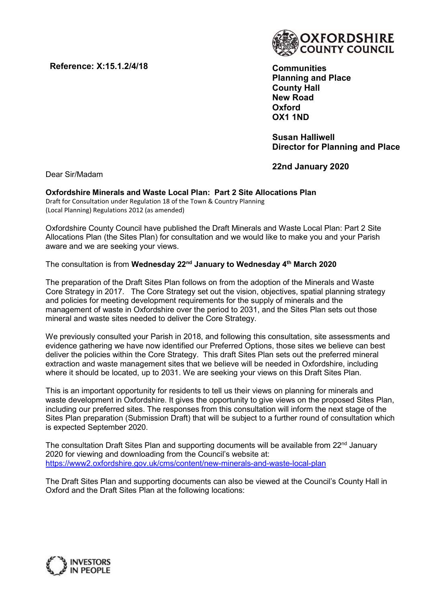Reference: X:15.1.2/4/18



**Communities** Planning and Place County Hall New Road **Oxford** OX1 1ND

Susan Halliwell Director for Planning and Place

22nd January 2020

Dear Sir/Madam

# Oxfordshire Minerals and Waste Local Plan: Part 2 Site Allocations Plan

Draft for Consultation under Regulation 18 of the Town & Country Planning (Local Planning) Regulations 2012 (as amended)

Oxfordshire County Council have published the Draft Minerals and Waste Local Plan: Part 2 Site Allocations Plan (the Sites Plan) for consultation and we would like to make you and your Parish aware and we are seeking your views.

## The consultation is from Wednesday 22<sup>nd</sup> January to Wednesday 4<sup>th</sup> March 2020

The preparation of the Draft Sites Plan follows on from the adoption of the Minerals and Waste Core Strategy in 2017. The Core Strategy set out the vision, objectives, spatial planning strategy and policies for meeting development requirements for the supply of minerals and the management of waste in Oxfordshire over the period to 2031, and the Sites Plan sets out those mineral and waste sites needed to deliver the Core Strategy.

We previously consulted your Parish in 2018, and following this consultation, site assessments and evidence gathering we have now identified our Preferred Options, those sites we believe can best deliver the policies within the Core Strategy. This draft Sites Plan sets out the preferred mineral extraction and waste management sites that we believe will be needed in Oxfordshire, including where it should be located, up to 2031. We are seeking your views on this Draft Sites Plan.

This is an important opportunity for residents to tell us their views on planning for minerals and waste development in Oxfordshire. It gives the opportunity to give views on the proposed Sites Plan, including our preferred sites. The responses from this consultation will inform the next stage of the Sites Plan preparation (Submission Draft) that will be subject to a further round of consultation which is expected September 2020.

The consultation Draft Sites Plan and supporting documents will be available from 22<sup>nd</sup> January 2020 for viewing and downloading from the Council's website at: https://www2.oxfordshire.gov.uk/cms/content/new-minerals-and-waste-local-plan

The Draft Sites Plan and supporting documents can also be viewed at the Council's County Hall in Oxford and the Draft Sites Plan at the following locations:

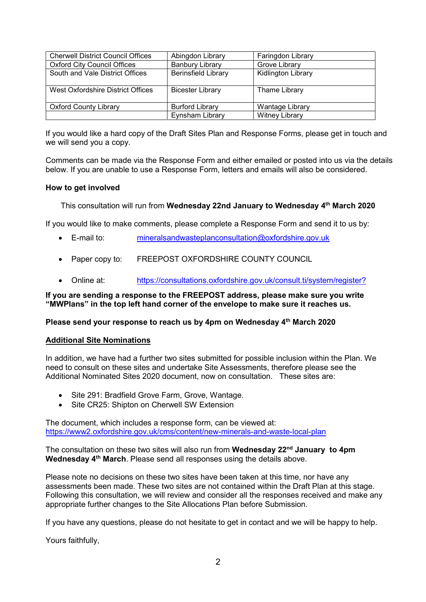| <b>Cherwell District Council Offices</b> | Abingdon Library           | Faringdon Library         |
|------------------------------------------|----------------------------|---------------------------|
| <b>Oxford City Council Offices</b>       | <b>Banbury Library</b>     | Grove Library             |
| South and Vale District Offices          | <b>Berinsfield Library</b> | <b>Kidlington Library</b> |
| West Oxfordshire District Offices        | <b>Bicester Library</b>    | <b>Thame Library</b>      |
| <b>Oxford County Library</b>             | <b>Burford Library</b>     | <b>Wantage Library</b>    |
|                                          | Eynsham Library            | <b>Witney Library</b>     |

If you would like a hard copy of the Draft Sites Plan and Response Forms, please get in touch and we will send you a copy.

Comments can be made via the Response Form and either emailed or posted into us via the details below. If you are unable to use a Response Form, letters and emails will also be considered.

## How to get involved

This consultation will run from Wednesday 22nd January to Wednesday 4<sup>th</sup> March 2020

If you would like to make comments, please complete a Response Form and send it to us by:

- E-mail to: mineralsandwasteplanconsultation@oxfordshire.gov.uk
- Paper copy to: FREEPOST OXFORDSHIRE COUNTY COUNCIL
- Online at: https://consultations.oxfordshire.gov.uk/consult.ti/system/register?

If you are sending a response to the FREEPOST address, please make sure you write "MWPlans" in the top left hand corner of the envelope to make sure it reaches us.

#### Please send your response to reach us by 4pm on Wednesday 4<sup>th</sup> March 2020

## Additional Site Nominations

In addition, we have had a further two sites submitted for possible inclusion within the Plan. We need to consult on these sites and undertake Site Assessments, therefore please see the Additional Nominated Sites 2020 document, now on consultation. These sites are:

- Site 291: Bradfield Grove Farm, Grove, Wantage.
- Site CR25: Shipton on Cherwell SW Extension

The document, which includes a response form, can be viewed at: https://www2.oxfordshire.gov.uk/cms/content/new-minerals-and-waste-local-plan

The consultation on these two sites will also run from **Wednesday 22<sup>nd</sup> January to 4pm** Wednesday 4<sup>th</sup> March. Please send all responses using the details above.

Please note no decisions on these two sites have been taken at this time, nor have any assessments been made. These two sites are not contained within the Draft Plan at this stage. Following this consultation, we will review and consider all the responses received and make any appropriate further changes to the Site Allocations Plan before Submission.

If you have any questions, please do not hesitate to get in contact and we will be happy to help.

Yours faithfully,